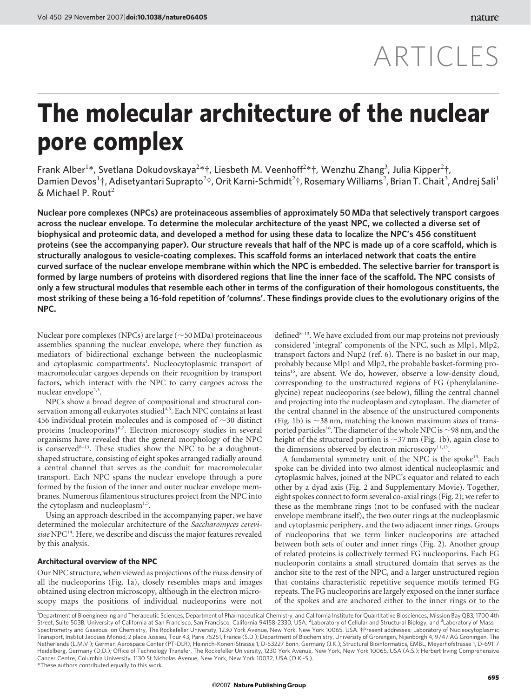# ARTICLES

## The molecular architecture of the nuclear pore complex

Frank Alber<sup>1\*</sup>, Svetlana Dokudovskaya<sup>2\*</sup>†, Liesbeth M. Veenhoff<sup>2\*</sup>†, Wenzhu Zhang<sup>3</sup>, Julia Kipper<sup>2</sup>†, Damien Devos<sup>1</sup>†, Adisetyantari Suprapto<sup>2</sup>†, Orit Karni-Schmidt<sup>2</sup>†, Rosemary Williams<sup>2</sup>, Brian T. Chait<sup>3</sup>, Andrej Sali<sup>1</sup>  $& Michael P. Rout<sup>2</sup>$ 

Nuclear pore complexes (NPCs) are proteinaceous assemblies of approximately 50 MDa that selectively transport cargoes across the nuclear envelope. To determine the molecular architecture of the yeast NPC, we collected a diverse set of biophysical and proteomic data, and developed a method for using these data to localize the NPC's 456 constituent proteins (see the accompanying paper). Our structure reveals that half of the NPC is made up of a core scaffold, which is structurally analogous to vesicle-coating complexes. This scaffold forms an interlaced network that coats the entire curved surface of the nuclear envelope membrane within which the NPC is embedded. The selective barrier for transport is formed by large numbers of proteins with disordered regions that line the inner face of the scaffold. The NPC consists of only a few structural modules that resemble each other in terms of the configuration of their homologous constituents, the most striking of these being a 16-fold repetition of 'columns'. These findings provide clues to the evolutionary origins of the NPC.

Nuclear pore complexes (NPCs) are large  $(\sim 50$  MDa) proteinaceous assemblies spanning the nuclear envelope, where they function as mediators of bidirectional exchange between the nucleoplasmic and cytoplasmic compartments<sup>1</sup>. Nucleocytoplasmic transport of macromolecular cargoes depends on their recognition by transport factors, which interact with the NPC to carry cargoes across the nuclear envelope<sup>2,3</sup>.

NPCs show a broad degree of compositional and structural conservation among all eukaryotes studied<sup>4,5</sup>. Each NPC contains at least 456 individual protein molecules and is composed of  $\sim$ 30 distinct proteins (nucleoporins)<sup>6,7</sup>. Electron microscopy studies in several organisms have revealed that the general morphology of the NPC is conserved<sup>8-13</sup>. These studies show the NPC to be a doughnutshaped structure, consisting of eight spokes arranged radially around a central channel that serves as the conduit for macromolecular transport. Each NPC spans the nuclear envelope through a pore formed by the fusion of the inner and outer nuclear envelope membranes. Numerous filamentous structures project from the NPC into the cytoplasm and nucleoplasm<sup>1,5</sup>.

Using an approach described in the accompanying paper, we have determined the molecular architecture of the Saccharomyces cerevisiae NPC<sup>14</sup>. Here, we describe and discuss the major features revealed by this analysis.

### Architectural overview of the NPC

Our NPC structure, when viewed as projections of the mass density of all the nucleoporins (Fig. 1a), closely resembles maps and images obtained using electron microscopy, although in the electron microscopy maps the positions of individual nucleoporins were not

defined<sup>8-13</sup>. We have excluded from our map proteins not previously considered 'integral' components of the NPC, such as Mlp1, Mlp2, transport factors and Nup2 (ref. 6). There is no basket in our map, probably because Mlp1 and Mlp2, the probable basket-forming proteins15, are absent. We do, however, observe a low-density cloud, corresponding to the unstructured regions of FG (phenylalanineglycine) repeat nucleoporins (see below), filling the central channel and projecting into the nucleoplasm and cytoplasm. The diameter of the central channel in the absence of the unstructured components (Fig. 1b) is  $\sim$ 38 nm, matching the known maximum sizes of transported particles<sup>16</sup>. The diameter of the whole NPC is  $\sim$ 98 nm, and the height of the structured portion is  $\sim$ 37 nm (Fig. 1b), again close to the dimensions observed by electron microscopy<sup>11,13</sup>.

A fundamental symmetry unit of the NPC is the spoke<sup>13</sup>. Each spoke can be divided into two almost identical nucleoplasmic and cytoplasmic halves, joined at the NPC's equator and related to each other by a dyad axis (Fig. 2 and Supplementary Movie). Together, eight spokes connect to form several co-axial rings (Fig. 2); we refer to these as the membrane rings (not to be confused with the nuclear envelope membrane itself), the two outer rings at the nucleoplasmic and cytoplasmic periphery, and the two adjacent inner rings. Groups of nucleoporins that we term linker nucleoporins are attached between both sets of outer and inner rings (Fig. 2). Another group of related proteins is collectively termed FG nucleoporins. Each FG nucleoporin contains a small structured domain that serves as the anchor site to the rest of the NPC, and a larger unstructured region that contains characteristic repetitive sequence motifs termed FG repeats. The FG nucleoporins are largely exposed on the inner surface of the spokes and are anchored either to the inner rings or to the

*\**These authors contributed equally to this work. <sup>1</sup>Department of Bioengineering and Therapeutic Sciences, Department of Pharmaceutical Chemistry, and California Institute for Quantitative Biosciences, Mission Bay QB3, 1700 4th Street, Suite 503B, University of California at San Francisco, San Francisco, California 94158-2330, USA. <sup>2</sup>Laboratory of Cellular and Structural Biology, and <sup>3</sup>Laboratory of Mass Spectrometry and Gaseous Ion Chemistry, The Rockefeller University, 1230 York Avenue, New York, New York 10065, USA. {Present addresses: Laboratory of Nucleocytoplasmic Transport, Institut Jacques Monod, 2 place Jussieu, Tour 43, Paris 75251, France (S.D.); Department of Biochemistry, University of Groningen, Nijenborgh 4, 9747 AG Groningen, The Netherlands (L.M.V.); German Aerospace Center (PT-DLR), Heinrich-Konen-Strasse 1, D-53227 Bonn, Germany (J.K.); Structural Bioinformatics, EMBL, Meyerhofstrasse 1, D-69117 Heidelberg, Germany (D.D.); Office of Technology Transfer, The Rockefeller University, 1230 York Avenue, New York, New York 10065, USA (A.S.); Herbert Irving Comprehensive Cancer Centre, Columbia University, 1130 St Nicholas Avenue, New York, New York 10032, USA (O.K.-S.).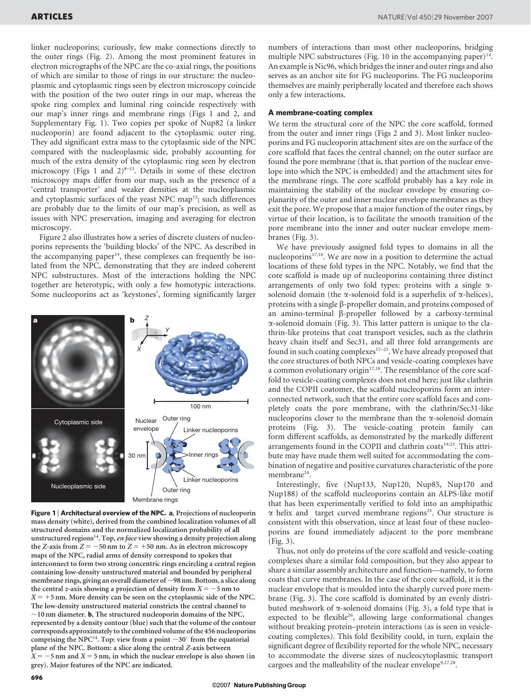linker nucleoporins; curiously, few make connections directly to the outer rings (Fig. 2). Among the most prominent features in electron micrographs of the NPC are the co-axial rings, the positions of which are similar to those of rings in our structure: the nucleoplasmic and cytoplasmic rings seen by electron microscopy coincide with the position of the two outer rings in our map, whereas the spoke ring complex and luminal ring coincide respectively with our map's inner rings and membrane rings (Figs 1 and 2, and Supplementary Fig. 1). Two copies per spoke of Nup82 (a linker nucleoporin) are found adjacent to the cytoplasmic outer ring. They add significant extra mass to the cytoplasmic side of the NPC compared with the nucleoplasmic side, probably accounting for much of the extra density of the cytoplasmic ring seen by electron microscopy (Figs 1 and  $2)^{8-13}$ . Details in some of these electron microscopy maps differ from our map, such as the presence of a 'central transporter' and weaker densities at the nucleoplasmic and cytoplasmic surfaces of the yeast NPC map<sup>13</sup>; such differences are probably due to the limits of our map's precision, as well as issues with NPC preservation, imaging and averaging for electron microscopy.

Figure 2 also illustrates how a series of discrete clusters of nucleoporins represents the 'building blocks' of the NPC. As described in the accompanying paper $14$ , these complexes can frequently be isolated from the NPC, demonstrating that they are indeed coherent NPC substructures. Most of the interactions holding the NPC together are heterotypic, with only a few homotypic interactions. Some nucleoporins act as 'keystones', forming significantly larger



Figure 1 | Architectural overview of the NPC. a, Projections of nucleoporin mass density (white), derived from the combined localization volumes of all structured domains and the normalized localization probability of all unstructured regions<sup>14</sup>. Top, en face view showing a density projection along the Z-axis from  $Z = -50$  nm to  $Z = +50$  nm. As in electron microscopy maps of the NPC, radial arms of density correspond to spokes that interconnect to form two strong concentric rings encircling a central region containing low-density unstructured material and bounded by peripheral membrane rings, giving an overall diameter of  $\sim$ 98 nm. Bottom, a slice along the central z-axis showing a projection of density from  $X = -5$  nm to  $X = +5$  nm. More density can be seen on the cytoplasmic side of the NPC. The low-density unstructured material constricts the central channel to  $\sim$ 10 nm diameter. **b**, The structured nucleoporin domains of the NPC, represented by a density contour (blue) such that the volume of the contour corresponds approximately to the combined volume of the 456 nucleoporins comprising the NPC<sup>14</sup>. Top: view from a point  $\sim$ 30 $^{\circ}$  from the equatorial plane of the NPC. Bottom: a slice along the central Z-axis between  $X = -5$  nm and  $X = 5$  nm, in which the nuclear envelope is also shown (in grey). Major features of the NPC are indicated.

numbers of interactions than most other nucleoporins, bridging multiple NPC substructures (Fig. 10 in the accompanying paper) $14$ . An example is Nic96, which bridges the inner and outer rings and also serves as an anchor site for FG nucleoporins. The FG nucleoporins themselves are mainly peripherally located and therefore each shows only a few interactions.

#### A membrane-coating complex

We term the structural core of the NPC the core scaffold, formed from the outer and inner rings (Figs 2 and 3). Most linker nucleoporins and FG nucleoporin attachment sites are on the surface of the core scaffold that faces the central channel; on the outer surface are found the pore membrane (that is, that portion of the nuclear envelope into which the NPC is embedded) and the attachment sites for the membrane rings. The core scaffold probably has a key role in maintaining the stability of the nuclear envelope by ensuring coplanarity of the outer and inner nuclear envelope membranes as they exit the pore. We propose that a major function of the outer rings, by virtue of their location, is to facilitate the smooth transition of the pore membrane into the inner and outer nuclear envelope membranes (Fig. 3).

We have previously assigned fold types to domains in all the nucleoporins<sup>17,18</sup>. We are now in a position to determine the actual locations of these fold types in the NPC. Notably, we find that the core scaffold is made up of nucleoporins containing three distinct arrangements of only two fold types: proteins with a single  $\alpha$ solenoid domain (the  $\alpha$ -solenoid fold is a superhelix of  $\alpha$ -helices), proteins with a single  $\beta$ -propeller domain, and proteins composed of an amino-terminal  $\beta$ -propeller followed by a carboxy-terminal  $\alpha$ -solenoid domain (Fig. 3). This latter pattern is unique to the clathrin-like proteins that coat transport vesicles, such as the clathrin heavy chain itself and Sec31, and all three fold arrangements are found in such coating complexes $17-23$ . We have already proposed that the core structures of both NPCs and vesicle-coating complexes have a common evolutionary origin<sup>17,18</sup>. The resemblance of the core scaffold to vesicle-coating complexes does not end here; just like clathrin and the COPII coatomer, the scaffold nucleoporins form an interconnected network, such that the entire core scaffold faces and completely coats the pore membrane, with the clathrin/Sec31-like nucleoporins closer to the membrane than the  $\alpha$ -solenoid domain proteins (Fig. 3). The vesicle-coating protein family can form different scaffolds, as demonstrated by the markedly different arrangements found in the COPII and clathrin coats<sup>19,23</sup>. This attribute may have made them well suited for accommodating the combination of negative and positive curvatures characteristic of the pore membrane<sup>24</sup>.

Interestingly, five (Nup133, Nup120, Nup85, Nup170 and Nup188) of the scaffold nucleoporins contain an ALPS-like motif that has been experimentally verified to fold into an amphipathic  $\alpha$  helix and target curved membrane regions<sup>25</sup>. Our structure is consistent with this observation, since at least four of these nucleoporins are found immediately adjacent to the pore membrane (Fig. 3).

Thus, not only do proteins of the core scaffold and vesicle-coating complexes share a similar fold composition, but they also appear to share a similar assembly architecture and function—namely, to form coats that curve membranes. In the case of the core scaffold, it is the nuclear envelope that is moulded into the sharply curved pore membrane (Fig. 3). The core scaffold is dominated by an evenly distributed meshwork of  $\alpha$ -solenoid domains (Fig. 3), a fold type that is expected to be flexible<sup>26</sup>, allowing large conformational changes without breaking protein–protein interactions (as is seen in vesiclecoating complexes). This fold flexibility could, in turn, explain the significant degree of flexibility reported for the whole NPC, necessary to accommodate the diverse sizes of nucleocytoplasmic transport cargoes and the malleability of the nuclear envelope<sup>9,27,28</sup>.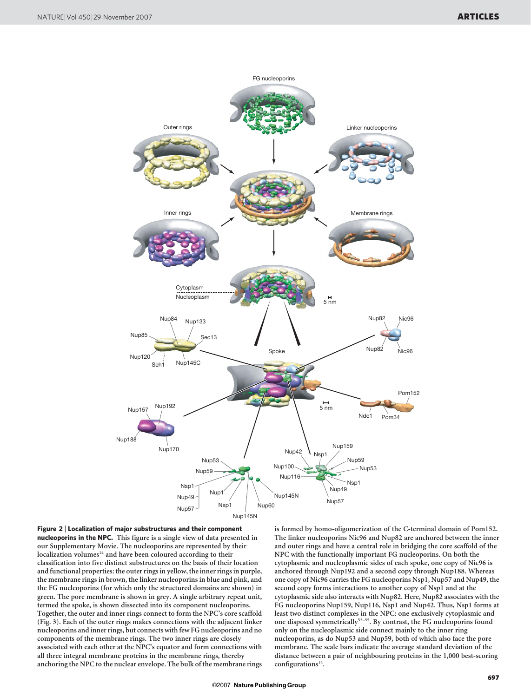

Figure 2 <sup>|</sup> Localization of major substructures and their component nucleoporins in the NPC. This figure is a single view of data presented in our Supplementary Movie. The nucleoporins are represented by their localization volumes<sup>14</sup> and have been coloured according to their classification into five distinct substructures on the basis of their location and functional properties: the outer rings in yellow, the inner rings in purple, the membrane rings in brown, the linker nucleoporins in blue and pink, and the FG nucleoporins (for which only the structured domains are shown) in green. The pore membrane is shown in grey. A single arbitrary repeat unit, termed the spoke, is shown dissected into its component nucleoporins. Together, the outer and inner rings connect to form the NPC's core scaffold (Fig. 3). Each of the outer rings makes connections with the adjacent linker nucleoporins and inner rings, but connects with few FG nucleoporins and no components of the membrane rings. The two inner rings are closely associated with each other at the NPC's equator and form connections with all three integral membrane proteins in the membrane rings, thereby anchoring the NPC to the nuclear envelope. The bulk of the membrane rings

is formed by homo-oligomerization of the C-terminal domain of Pom152. The linker nucleoporins Nic96 and Nup82 are anchored between the inner and outer rings and have a central role in bridging the core scaffold of the NPC with the functionally important FG nucleoporins. On both the cytoplasmic and nucleoplasmic sides of each spoke, one copy of Nic96 is anchored through Nup192 and a second copy through Nup188. Whereas one copy of Nic96 carries the FG nucleoporins Nsp1, Nup57 and Nup49, the second copy forms interactions to another copy of Nsp1 and at the cytoplasmic side also interacts with Nup82. Here, Nup82 associates with the FG nucleoporins Nup159, Nup116, Nsp1 and Nup42. Thus, Nsp1 forms at least two distinct complexes in the NPC: one exclusively cytoplasmic and one disposed symmetrically<sup>52-55</sup>. By contrast, the FG nucleoporins found only on the nucleoplasmic side connect mainly to the inner ring nucleoporins, as do Nup53 and Nup59, both of which also face the pore membrane. The scale bars indicate the average standard deviation of the distance between a pair of neighbouring proteins in the 1,000 best-scoring configurations $14$ .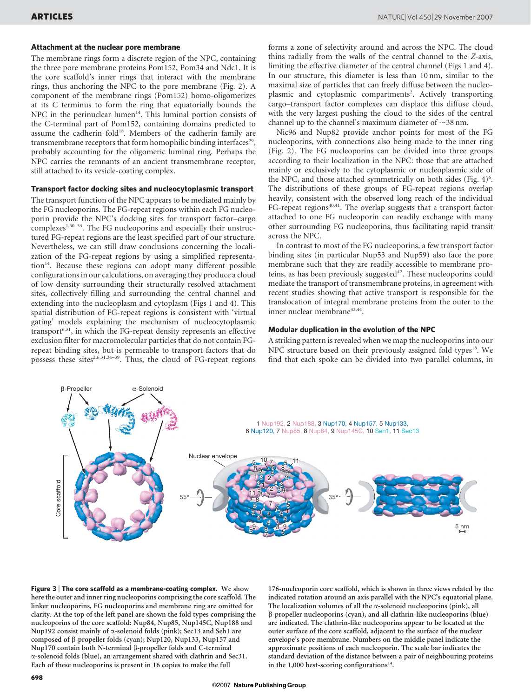#### Attachment at the nuclear pore membrane

The membrane rings form a discrete region of the NPC, containing the three pore membrane proteins Pom152, Pom34 and Ndc1. It is the core scaffold's inner rings that interact with the membrane rings, thus anchoring the NPC to the pore membrane (Fig. 2). A component of the membrane rings (Pom152) homo-oligomerizes at its C terminus to form the ring that equatorially bounds the NPC in the perinuclear lumen<sup>14</sup>. This luminal portion consists of the C-terminal part of Pom152, containing domains predicted to assume the cadherin fold<sup>18</sup>. Members of the cadherin family are transmembrane receptors that form homophilic binding interfaces<sup>29</sup>, probably accounting for the oligomeric luminal ring. Perhaps the NPC carries the remnants of an ancient transmembrane receptor, still attached to its vesicle-coating complex.

## Transport factor docking sites and nucleocytoplasmic transport

The transport function of the NPC appears to be mediated mainly by the FG nucleoporins. The FG-repeat regions within each FG nucleoporin provide the NPC's docking sites for transport factor–cargo complexes<sup>1,30–33</sup>. The FG nucleoporins and especially their unstructured FG-repeat regions are the least specified part of our structure. Nevertheless, we can still draw conclusions concerning the localization of the FG-repeat regions by using a simplified representation<sup>14</sup>. Because these regions can adopt many different possible configurations in our calculations, on averaging they produce a cloud of low density surrounding their structurally resolved attachment sites, collectively filling and surrounding the central channel and extending into the nucleoplasm and cytoplasm (Figs 1 and 4). This spatial distribution of FG-repeat regions is consistent with 'virtual gating' models explaining the mechanism of nucleocytoplasmic transport6,31, in which the FG-repeat density represents an effective exclusion filter for macromolecular particles that do not contain FGrepeat binding sites, but is permeable to transport factors that do possess these sites<sup>2,6,31,34–39</sup>. Thus, the cloud of FG-repeat regions forms a zone of selectivity around and across the NPC. The cloud thins radially from the walls of the central channel to the Z-axis, limiting the effective diameter of the central channel (Figs 1 and 4). In our structure, this diameter is less than 10 nm, similar to the maximal size of particles that can freely diffuse between the nucleoplasmic and cytoplasmic compartments<sup>2</sup>. Actively transporting cargo–transport factor complexes can displace this diffuse cloud, with the very largest pushing the cloud to the sides of the central channel up to the channel's maximum diameter of  $\sim$ 38 nm.

Nic96 and Nup82 provide anchor points for most of the FG nucleoporins, with connections also being made to the inner ring (Fig. 2). The FG nucleoporins can be divided into three groups according to their localization in the NPC: those that are attached mainly or exclusively to the cytoplasmic or nucleoplasmic side of the NPC, and those attached symmetrically on both sides (Fig. 4)<sup>6</sup>. The distributions of these groups of FG-repeat regions overlap heavily, consistent with the observed long reach of the individual FG-repeat regions $40,41$ . The overlap suggests that a transport factor attached to one FG nucleoporin can readily exchange with many other surrounding FG nucleoporins, thus facilitating rapid transit across the NPC.

In contrast to most of the FG nucleoporins, a few transport factor binding sites (in particular Nup53 and Nup59) also face the pore membrane such that they are readily accessible to membrane proteins, as has been previously suggested $42$ . These nucleoporins could mediate the transport of transmembrane proteins, in agreement with recent studies showing that active transport is responsible for the translocation of integral membrane proteins from the outer to the inner nuclear membrane<sup>43,44</sup>.

### Modular duplication in the evolution of the NPC

A striking pattern is revealed when we map the nucleoporins into our NPC structure based on their previously assigned fold types<sup>18</sup>. We find that each spoke can be divided into two parallel columns, in



Figure 3 | The core scaffold as a membrane-coating complex. We show here the outer and inner ring nucleoporins comprising the core scaffold. The linker nucleoporins, FG nucleoporins and membrane ring are omitted for clarity. At the top of the left panel are shown the fold types comprising the nucleoporins of the core scaffold: Nup84, Nup85, Nup145C, Nup188 and Nup192 consist mainly of  $\alpha$ -solenoid folds (pink); Sec13 and Seh1 are composed of  $\beta$ -propeller folds (cyan); Nup120, Nup133, Nup157 and Nup170 contain both N-terminal b-propeller folds and C-terminal a-solenoid folds (blue), an arrangement shared with clathrin and Sec31. Each of these nucleoporins is present in 16 copies to make the full

176-nucleoporin core scaffold, which is shown in three views related by the indicated rotation around an axis parallel with the NPC's equatorial plane. The localization volumes of all the  $\alpha$ -solenoid nucleoporins (pink), all b-propeller nucleoporins (cyan), and all clathrin-like nucleoporins (blue) are indicated. The clathrin-like nucleoporins appear to be located at the outer surface of the core scaffold, adjacent to the surface of the nuclear envelope's pore membrane. Numbers on the middle panel indicate the approximate positions of each nucleoporin. The scale bar indicates the standard deviation of the distance between a pair of neighbouring proteins in the 1,000 best-scoring configurations $14$ .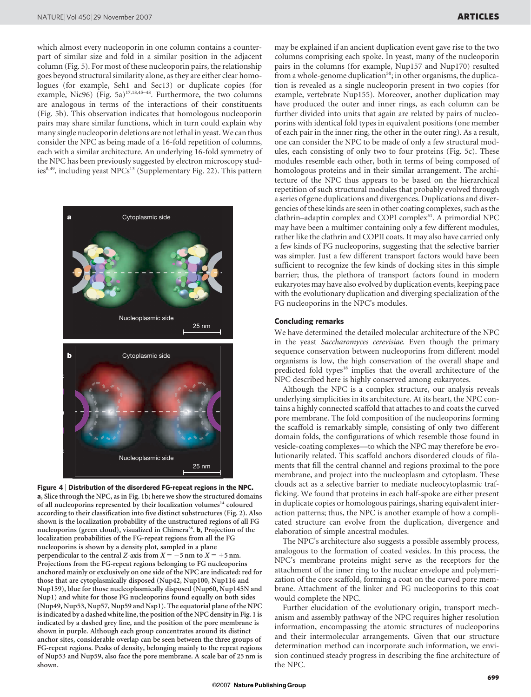which almost every nucleoporin in one column contains a counterpart of similar size and fold in a similar position in the adjacent column (Fig. 5). For most of these nucleoporin pairs, the relationship goes beyond structural similarity alone, as they are either clear homologues (for example, Seh1 and Sec13) or duplicate copies (for example, Nic96) (Fig. 5a)<sup>17,18,45–48</sup>. Furthermore, the two columns are analogous in terms of the interactions of their constituents (Fig. 5b). This observation indicates that homologous nucleoporin pairs may share similar functions, which in turn could explain why many single nucleoporin deletions are not lethal in yeast. We can thus consider the NPC as being made of a 16-fold repetition of columns, each with a similar architecture. An underlying 16-fold symmetry of the NPC has been previously suggested by electron microscopy studies<sup>8,49</sup>, including yeast NPCs<sup>13</sup> (Supplementary Fig. 22). This pattern



Figure 4 <sup>|</sup> Distribution of the disordered FG-repeat regions in the NPC. a, Slice through the NPC, as in Fig. 1b; here we show the structured domains of all nucleoporins represented by their localization volumes<sup>14</sup> coloured according to their classification into five distinct substructures (Fig. 2). Also shown is the localization probability of the unstructured regions of all FG nucleoporins (green cloud), visualized in Chimera<sup>56</sup>. **b**, Projection of the localization probabilities of the FG-repeat regions from all the FG nucleoporins is shown by a density plot, sampled in a plane perpendicular to the central Z-axis from  $X = -5$  nm to  $X = +5$  nm. Projections from the FG-repeat regions belonging to FG nucleoporins anchored mainly or exclusively on one side of the NPC are indicated: red for those that are cytoplasmically disposed (Nup42, Nup100, Nup116 and Nup159), blue for those nucleoplasmically disposed (Nup60, Nup145N and Nup1) and white for those FG nucleoporins found equally on both sides (Nup49, Nup53, Nup57, Nup59 and Nsp1). The equatorial plane of the NPC is indicated by a dashed white line, the position of the NPC density in Fig. 1 is indicated by a dashed grey line, and the position of the pore membrane is shown in purple. Although each group concentrates around its distinct anchor sites, considerable overlap can be seen between the three groups of FG-repeat regions. Peaks of density, belonging mainly to the repeat regions of Nup53 and Nup59, also face the pore membrane. A scale bar of 25 nm is shown.

may be explained if an ancient duplication event gave rise to the two columns comprising each spoke. In yeast, many of the nucleoporin pairs in the columns (for example, Nup157 and Nup170) resulted from a whole-genome duplication<sup>50</sup>; in other organisms, the duplication is revealed as a single nucleoporin present in two copies (for example, vertebrate Nup155). Moreover, another duplication may have produced the outer and inner rings, as each column can be further divided into units that again are related by pairs of nucleoporins with identical fold types in equivalent positions (one member of each pair in the inner ring, the other in the outer ring). As a result, one can consider the NPC to be made of only a few structural modules, each consisting of only two to four proteins (Fig. 5c). These modules resemble each other, both in terms of being composed of homologous proteins and in their similar arrangement. The architecture of the NPC thus appears to be based on the hierarchical repetition of such structural modules that probably evolved through a series of gene duplications and divergences. Duplications and divergencies of these kinds are seen in other coating complexes, such as the clathrin–adaptin complex and COPI complex<sup>51</sup>. A primordial NPC may have been a multimer containing only a few different modules, rather like the clathrin and COPII coats. It may also have carried only a few kinds of FG nucleoporins, suggesting that the selective barrier was simpler. Just a few different transport factors would have been sufficient to recognize the few kinds of docking sites in this simple barrier; thus, the plethora of transport factors found in modern eukaryotes may have also evolved by duplication events, keeping pace with the evolutionary duplication and diverging specialization of the FG nucleoporins in the NPC's modules.

## Concluding remarks

We have determined the detailed molecular architecture of the NPC in the yeast Saccharomyces cerevisiae. Even though the primary sequence conservation between nucleoporins from different model organisms is low, the high conservation of the overall shape and predicted fold types<sup>18</sup> implies that the overall architecture of the NPC described here is highly conserved among eukaryotes.

Although the NPC is a complex structure, our analysis reveals underlying simplicities in its architecture. At its heart, the NPC contains a highly connected scaffold that attaches to and coats the curved pore membrane. The fold composition of the nucleoporins forming the scaffold is remarkably simple, consisting of only two different domain folds, the configurations of which resemble those found in vesicle-coating complexes—to which the NPC may therefore be evolutionarily related. This scaffold anchors disordered clouds of filaments that fill the central channel and regions proximal to the pore membrane, and project into the nucleoplasm and cytoplasm. These clouds act as a selective barrier to mediate nucleocytoplasmic trafficking. We found that proteins in each half-spoke are either present in duplicate copies or homologous pairings, sharing equivalent interaction patterns; thus, the NPC is another example of how a complicated structure can evolve from the duplication, divergence and elaboration of simple ancestral modules.

The NPC's architecture also suggests a possible assembly process, analogous to the formation of coated vesicles. In this process, the NPC's membrane proteins might serve as the receptors for the attachment of the inner ring to the nuclear envelope and polymerization of the core scaffold, forming a coat on the curved pore membrane. Attachment of the linker and FG nucleoporins to this coat would complete the NPC.

Further elucidation of the evolutionary origin, transport mechanism and assembly pathway of the NPC requires higher resolution information, encompassing the atomic structures of nucleoporins and their intermolecular arrangements. Given that our structure determination method can incorporate such information, we envision continued steady progress in describing the fine architecture of the NPC.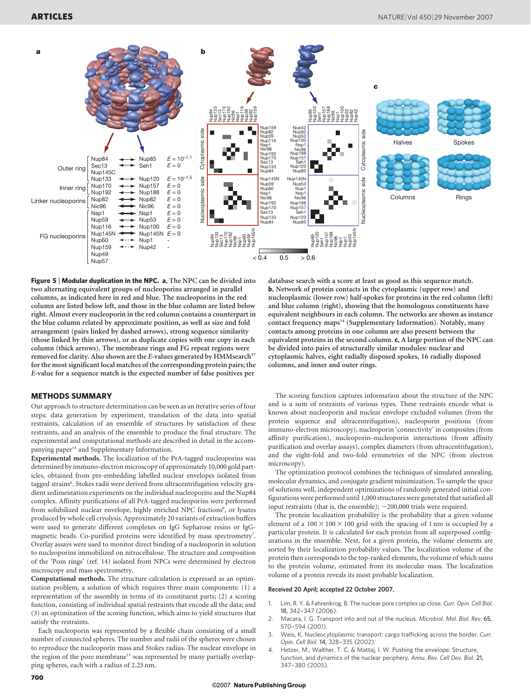

Figure 5 | Modular duplication in the NPC. a, The NPC can be divided into two alternating equivalent groups of nucleoporins arranged in parallel columns, as indicated here in red and blue. The nucleoporins in the red column are listed below left, and those in the blue column are listed below right. Almost every nucleoporin in the red column contains a counterpart in the blue column related by approximate position, as well as size and fold arrangement (pairs linked by dashed arrows), strong sequence similarity (those linked by thin arrows), or as duplicate copies with one copy in each column (thick arrows). The membrane rings and FG repeat regions were removed for clarity. Also shown are the E-values generated by HMM<br>search  $\rm ^{57}$ for the most significant local matches of the corresponding protein pairs; the E-value for a sequence match is the expected number of false positives per

#### METHODS SUMMARY

Our approach to structure determination can be seen as an iterative series of four steps: data generation by experiment, translation of the data into spatial restraints, calculation of an ensemble of structures by satisfaction of these restraints, and an analysis of the ensemble to produce the final structure. The experimental and computational methods are described in detail in the accompanying paper<sup>14</sup> and Supplementary Information.

Experimental methods. The localization of the PrA-tagged nucleoporins was determined by immuno-electron microscopy of approximately 10,000 gold particles, obtained from pre-embedding labelled nuclear envelopes isolated from tagged strains<sup>6</sup>. Stokes radii were derived from ultracentrifugation velocity gradient sedimentation experiments on the individual nucleoporins and the Nup84 complex. Affinity purifications of all PrA-tagged nucleoporins were performed from solubilized nuclear envelope, highly enriched NPC fractions<sup>6</sup>, or lysates produced by whole cell cryolysis. Approximately 20 variants of extraction buffers were used to generate different complexes on IgG Sepharose resins or IgGmagnetic beads. Co-purified proteins were identified by mass spectrometry<sup>7</sup>. Overlay assays were used to monitor direct binding of a nucleoporin in solution to nucleoporins immobilized on nitrocellulose. The structure and composition of the 'Pom rings' (ref. 14) isolated from NPCs were determined by electron microscopy and mass spectrometry.

Computational methods. The structure calculation is expressed as an optimization problem, a solution of which requires three main components: (1) a representation of the assembly in terms of its constituent parts; (2) a scoring function, consisting of individual spatial restraints that encode all the data; and (3) an optimization of the scoring function, which aims to yield structures that satisfy the restraints.

Each nucleoporin was represented by a flexible chain consisting of a small number of connected spheres. The number and radii of the spheres were chosen to reproduce the nucleoporin mass and Stokes radius. The nuclear envelope in the region of the pore membrane<sup>13</sup> was represented by many partially overlapping spheres, each with a radius of 2.25 nm.

database search with a score at least as good as this sequence match. b, Network of protein contacts in the cytoplasmic (upper row) and nucleoplasmic (lower row) half-spokes for proteins in the red column (left) and blue column (right), showing that the homologous constituents have equivalent neighbours in each column. The networks are shown as instance contact frequency maps<sup>14</sup> (Supplementary Information). Notably, many contacts among proteins in one column are also present between the equivalent proteins in the second column. c, A large portion of the NPC can be divided into pairs of structurally similar modules: nuclear and cytoplasmic halves, eight radially disposed spokes, 16 radially disposed columns, and inner and outer rings.

The scoring function captures information about the structure of the NPC and is a sum of restraints of various types. These restraints encode what is known about nucleoporin and nuclear envelope excluded volumes (from the protein sequence and ultracentrifugation), nucleoporin positions (from immuno-electron microscopy), nucleoporin 'connectivity' in composites (from affinity purification), nucleoporin–nucleoporin interactions (from affinity purification and overlay assays), complex diameters (from ultracentrifugation), and the eight-fold and two-fold symmetries of the NPC (from electron microscopy).

The optimization protocol combines the techniques of simulated annealing, molecular dynamics, and conjugate gradient minimization. To sample the space of solutions well, independent optimizations of randomly generated initial configurations were performed until 1,000 structures were generated that satisfied all input restraints (that is, the ensemble);  $\sim$  200,000 trials were required.

The protein localization probability is the probability that a given volume element of a  $100 \times 100 \times 100$  grid with the spacing of 1 nm is occupied by a particular protein. It is calculated for each protein from all superposed configurations in the ensemble. Next, for a given protein, the volume elements are sorted by their localization probability values. The localization volume of the protein then corresponds to the top-ranked elements, the volume of which sums to the protein volume, estimated from its molecular mass. The localization volume of a protein reveals its most probable localization.

#### Received 20 April; accepted 22 October 2007.

- 1. Lim, R. Y. & Fahrenkrog, B. The nuclear pore complex up close. Curr. Opin. Cell Biol. 18, 342–347 (2006).
- 2. Macara, I. G. Transport into and out of the nucleus. Microbiol. Mol. Biol. Rev. 65, 570–594 (2001).
- 3. Weis, K. Nucleocytoplasmic transport: cargo trafficking across the border. Curr. Opin. Cell Biol. 14, 328–335 (2002).
- 4. Hetzer, M., Walther, T. C. & Mattaj, I. W. Pushing the envelope: Structure, function, and dynamics of the nuclear periphery. Annu. Rev. Cell Dev. Biol. 21, 347–380 (2005).